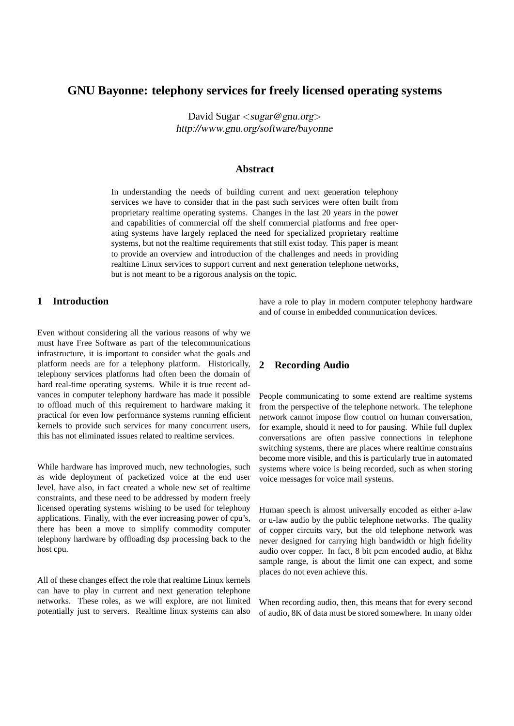# **GNU Bayonne: telephony services for freely licensed operating systems**

David Sugar <sugar@gnu.org> http://www.gnu.org/software/bayonne

#### **Abstract**

In understanding the needs of building current and next generation telephony services we have to consider that in the past such services were often built from proprietary realtime operating systems. Changes in the last 20 years in the power and capabilities of commercial off the shelf commercial platforms and free operating systems have largely replaced the need for specialized proprietary realtime systems, but not the realtime requirements that still exist today. This paper is meant to provide an overview and introduction of the challenges and needs in providing realtime Linux services to support current and next generation telephone networks, but is not meant to be a rigorous analysis on the topic.

## **1 Introduction**

Even without considering all the various reasons of why we must have Free Software as part of the telecommunications infrastructure, it is important to consider what the goals and platform needs are for a telephony platform. Historically, telephony services platforms had often been the domain of hard real-time operating systems. While it is true recent advances in computer telephony hardware has made it possible to offload much of this requirement to hardware making it practical for even low performance systems running efficient kernels to provide such services for many concurrent users, this has not eliminated issues related to realtime services.

While hardware has improved much, new technologies, such as wide deployment of packetized voice at the end user level, have also, in fact created a whole new set of realtime constraints, and these need to be addressed by modern freely licensed operating systems wishing to be used for telephony applications. Finally, with the ever increasing power of cpu's, there has been a move to simplify commodity computer telephony hardware by offloading dsp processing back to the host cpu.

All of these changes effect the role that realtime Linux kernels can have to play in current and next generation telephone networks. These roles, as we will explore, are not limited potentially just to servers. Realtime linux systems can also have a role to play in modern computer telephony hardware and of course in embedded communication devices.

## **2 Recording Audio**

People communicating to some extend are realtime systems from the perspective of the telephone network. The telephone network cannot impose flow control on human conversation, for example, should it need to for pausing. While full duplex conversations are often passive connections in telephone switching systems, there are places where realtime constrains become more visible, and this is particularly true in automated systems where voice is being recorded, such as when storing voice messages for voice mail systems.

Human speech is almost universally encoded as either a-law or u-law audio by the public telephone networks. The quality of copper circuits vary, but the old telephone network was never designed for carrying high bandwidth or high fidelity audio over copper. In fact, 8 bit pcm encoded audio, at 8khz sample range, is about the limit one can expect, and some places do not even achieve this.

When recording audio, then, this means that for every second of audio, 8K of data must be stored somewhere. In many older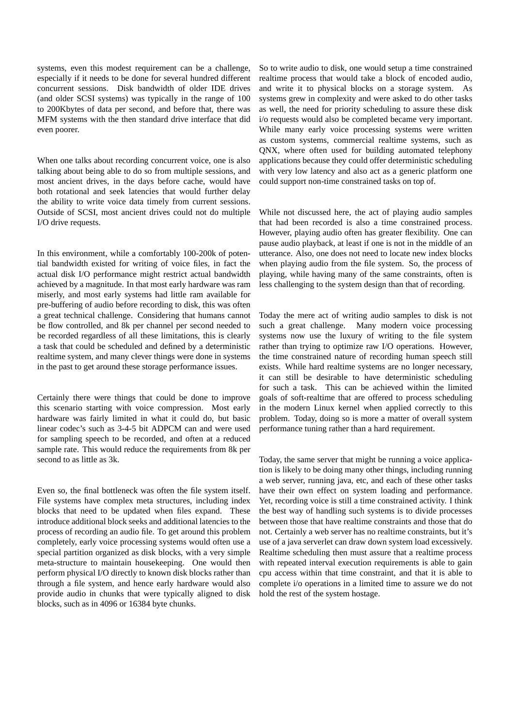systems, even this modest requirement can be a challenge, especially if it needs to be done for several hundred different concurrent sessions. Disk bandwidth of older IDE drives (and older SCSI systems) was typically in the range of 100 to 200Kbytes of data per second, and before that, there was MFM systems with the then standard drive interface that did even poorer.

When one talks about recording concurrent voice, one is also talking about being able to do so from multiple sessions, and most ancient drives, in the days before cache, would have both rotational and seek latencies that would further delay the ability to write voice data timely from current sessions. Outside of SCSI, most ancient drives could not do multiple I/O drive requests.

In this environment, while a comfortably 100-200k of potential bandwidth existed for writing of voice files, in fact the actual disk I/O performance might restrict actual bandwidth achieved by a magnitude. In that most early hardware was ram miserly, and most early systems had little ram available for pre-buffering of audio before recording to disk, this was often a great technical challenge. Considering that humans cannot be flow controlled, and 8k per channel per second needed to be recorded regardless of all these limitations, this is clearly a task that could be scheduled and defined by a deterministic realtime system, and many clever things were done in systems in the past to get around these storage performance issues.

Certainly there were things that could be done to improve this scenario starting with voice compression. Most early hardware was fairly limited in what it could do, but basic linear codec's such as 3-4-5 bit ADPCM can and were used for sampling speech to be recorded, and often at a reduced sample rate. This would reduce the requirements from 8k per second to as little as 3k.

Even so, the final bottleneck was often the file system itself. File systems have complex meta structures, including index blocks that need to be updated when files expand. These introduce additional block seeks and additional latencies to the process of recording an audio file. To get around this problem completely, early voice processing systems would often use a special partition organized as disk blocks, with a very simple meta-structure to maintain housekeeping. One would then perform physical I/O directly to known disk blocks rather than through a file system, and hence early hardware would also provide audio in chunks that were typically aligned to disk blocks, such as in 4096 or 16384 byte chunks.

So to write audio to disk, one would setup a time constrained realtime process that would take a block of encoded audio, and write it to physical blocks on a storage system. As systems grew in complexity and were asked to do other tasks as well, the need for priority scheduling to assure these disk i/o requests would also be completed became very important. While many early voice processing systems were written as custom systems, commercial realtime systems, such as QNX, where often used for building automated telephony applications because they could offer deterministic scheduling with very low latency and also act as a generic platform one could support non-time constrained tasks on top of.

While not discussed here, the act of playing audio samples that had been recorded is also a time constrained process. However, playing audio often has greater flexibility. One can pause audio playback, at least if one is not in the middle of an utterance. Also, one does not need to locate new index blocks when playing audio from the file system. So, the process of playing, while having many of the same constraints, often is less challenging to the system design than that of recording.

Today the mere act of writing audio samples to disk is not such a great challenge. Many modern voice processing systems now use the luxury of writing to the file system rather than trying to optimize raw I/O operations. However, the time constrained nature of recording human speech still exists. While hard realtime systems are no longer necessary, it can still be desirable to have deterministic scheduling for such a task. This can be achieved within the limited goals of soft-realtime that are offered to process scheduling in the modern Linux kernel when applied correctly to this problem. Today, doing so is more a matter of overall system performance tuning rather than a hard requirement.

Today, the same server that might be running a voice application is likely to be doing many other things, including running a web server, running java, etc, and each of these other tasks have their own effect on system loading and performance. Yet, recording voice is still a time constrained activity. I think the best way of handling such systems is to divide processes between those that have realtime constraints and those that do not. Certainly a web server has no realtime constraints, but it's use of a java serverlet can draw down system load excessively. Realtime scheduling then must assure that a realtime process with repeated interval execution requirements is able to gain cpu access within that time constraint, and that it is able to complete i/o operations in a limited time to assure we do not hold the rest of the system hostage.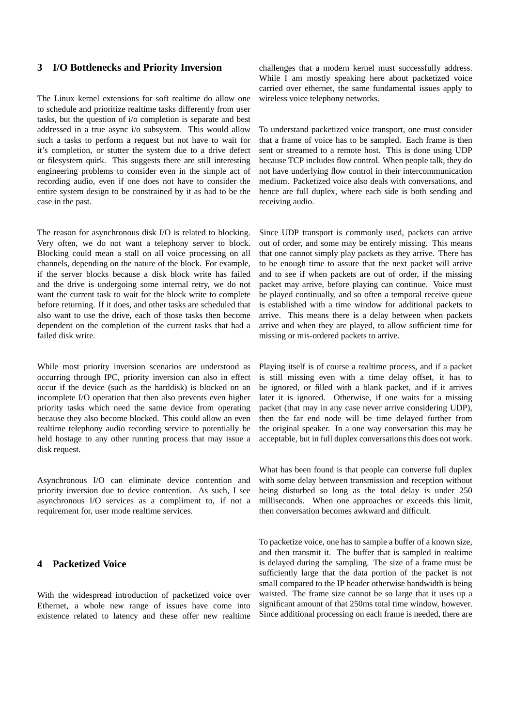## **3 I/O Bottlenecks and Priority Inversion**

The Linux kernel extensions for soft realtime do allow one to schedule and prioritize realtime tasks differently from user tasks, but the question of i/o completion is separate and best addressed in a true async i/o subsystem. This would allow such a tasks to perform a request but not have to wait for it's completion, or stutter the system due to a drive defect or filesystem quirk. This suggests there are still interesting engineering problems to consider even in the simple act of recording audio, even if one does not have to consider the entire system design to be constrained by it as had to be the case in the past.

The reason for asynchronous disk I/O is related to blocking. Very often, we do not want a telephony server to block. Blocking could mean a stall on all voice processing on all channels, depending on the nature of the block. For example, if the server blocks because a disk block write has failed and the drive is undergoing some internal retry, we do not want the current task to wait for the block write to complete before returning. If it does, and other tasks are scheduled that also want to use the drive, each of those tasks then become dependent on the completion of the current tasks that had a failed disk write.

While most priority inversion scenarios are understood as occurring through IPC, priority inversion can also in effect occur if the device (such as the harddisk) is blocked on an incomplete I/O operation that then also prevents even higher priority tasks which need the same device from operating because they also become blocked. This could allow an even realtime telephony audio recording service to potentially be held hostage to any other running process that may issue a disk request.

Asynchronous I/O can eliminate device contention and priority inversion due to device contention. As such, I see asynchronous I/O services as a compliment to, if not a requirement for, user mode realtime services.

## **4 Packetized Voice**

With the widespread introduction of packetized voice over Ethernet, a whole new range of issues have come into existence related to latency and these offer new realtime

challenges that a modern kernel must successfully address. While I am mostly speaking here about packetized voice carried over ethernet, the same fundamental issues apply to wireless voice telephony networks.

To understand packetized voice transport, one must consider that a frame of voice has to be sampled. Each frame is then sent or streamed to a remote host. This is done using UDP because TCP includes flow control. When people talk, they do not have underlying flow control in their intercommunication medium. Packetized voice also deals with conversations, and hence are full duplex, where each side is both sending and receiving audio.

Since UDP transport is commonly used, packets can arrive out of order, and some may be entirely missing. This means that one cannot simply play packets as they arrive. There has to be enough time to assure that the next packet will arrive and to see if when packets are out of order, if the missing packet may arrive, before playing can continue. Voice must be played continually, and so often a temporal receive queue is established with a time window for additional packets to arrive. This means there is a delay between when packets arrive and when they are played, to allow sufficient time for missing or mis-ordered packets to arrive.

Playing itself is of course a realtime process, and if a packet is still missing even with a time delay offset, it has to be ignored, or filled with a blank packet, and if it arrives later it is ignored. Otherwise, if one waits for a missing packet (that may in any case never arrive considering UDP), then the far end node will be time delayed further from the original speaker. In a one way conversation this may be acceptable, but in full duplex conversations this does not work.

What has been found is that people can converse full duplex with some delay between transmission and reception without being disturbed so long as the total delay is under 250 milliseconds. When one approaches or exceeds this limit, then conversation becomes awkward and difficult.

To packetize voice, one has to sample a buffer of a known size, and then transmit it. The buffer that is sampled in realtime is delayed during the sampling. The size of a frame must be sufficiently large that the data portion of the packet is not small compared to the IP header otherwise bandwidth is being waisted. The frame size cannot be so large that it uses up a significant amount of that 250ms total time window, however. Since additional processing on each frame is needed, there are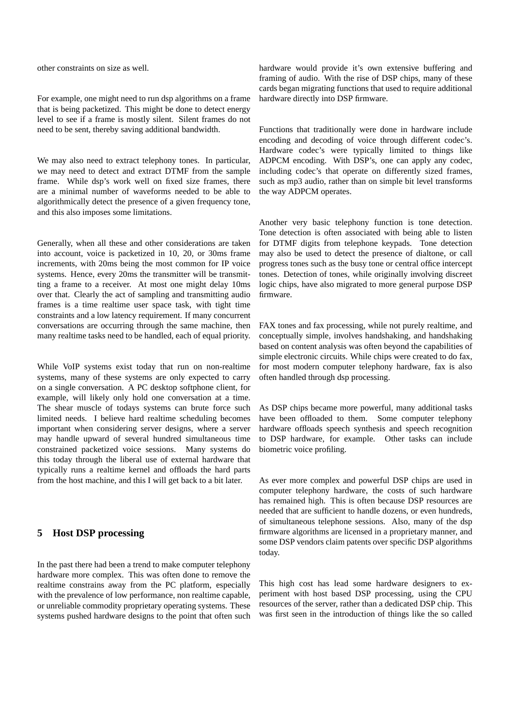other constraints on size as well.

For example, one might need to run dsp algorithms on a frame that is being packetized. This might be done to detect energy level to see if a frame is mostly silent. Silent frames do not need to be sent, thereby saving additional bandwidth.

We may also need to extract telephony tones. In particular, we may need to detect and extract DTMF from the sample frame. While dsp's work well on fixed size frames, there are a minimal number of waveforms needed to be able to algorithmically detect the presence of a given frequency tone, and this also imposes some limitations.

Generally, when all these and other considerations are taken into account, voice is packetized in 10, 20, or 30ms frame increments, with 20ms being the most common for IP voice systems. Hence, every 20ms the transmitter will be transmitting a frame to a receiver. At most one might delay 10ms over that. Clearly the act of sampling and transmitting audio frames is a time realtime user space task, with tight time constraints and a low latency requirement. If many concurrent conversations are occurring through the same machine, then many realtime tasks need to be handled, each of equal priority.

While VoIP systems exist today that run on non-realtime systems, many of these systems are only expected to carry on a single conversation. A PC desktop softphone client, for example, will likely only hold one conversation at a time. The shear muscle of todays systems can brute force such limited needs. I believe hard realtime scheduling becomes important when considering server designs, where a server may handle upward of several hundred simultaneous time constrained packetized voice sessions. Many systems do this today through the liberal use of external hardware that typically runs a realtime kernel and offloads the hard parts from the host machine, and this I will get back to a bit later.

## **5 Host DSP processing**

In the past there had been a trend to make computer telephony hardware more complex. This was often done to remove the realtime constrains away from the PC platform, especially with the prevalence of low performance, non realtime capable, or unreliable commodity proprietary operating systems. These systems pushed hardware designs to the point that often such

hardware would provide it's own extensive buffering and framing of audio. With the rise of DSP chips, many of these cards began migrating functions that used to require additional hardware directly into DSP firmware.

Functions that traditionally were done in hardware include encoding and decoding of voice through different codec's. Hardware codec's were typically limited to things like ADPCM encoding. With DSP's, one can apply any codec, including codec's that operate on differently sized frames, such as mp3 audio, rather than on simple bit level transforms the way ADPCM operates.

Another very basic telephony function is tone detection. Tone detection is often associated with being able to listen for DTMF digits from telephone keypads. Tone detection may also be used to detect the presence of dialtone, or call progress tones such as the busy tone or central office intercept tones. Detection of tones, while originally involving discreet logic chips, have also migrated to more general purpose DSP firmware.

FAX tones and fax processing, while not purely realtime, and conceptually simple, involves handshaking, and handshaking based on content analysis was often beyond the capabilities of simple electronic circuits. While chips were created to do fax, for most modern computer telephony hardware, fax is also often handled through dsp processing.

As DSP chips became more powerful, many additional tasks have been offloaded to them. Some computer telephony hardware offloads speech synthesis and speech recognition to DSP hardware, for example. Other tasks can include biometric voice profiling.

As ever more complex and powerful DSP chips are used in computer telephony hardware, the costs of such hardware has remained high. This is often because DSP resources are needed that are sufficient to handle dozens, or even hundreds, of simultaneous telephone sessions. Also, many of the dsp firmware algorithms are licensed in a proprietary manner, and some DSP vendors claim patents over specific DSP algorithms today.

This high cost has lead some hardware designers to experiment with host based DSP processing, using the CPU resources of the server, rather than a dedicated DSP chip. This was first seen in the introduction of things like the so called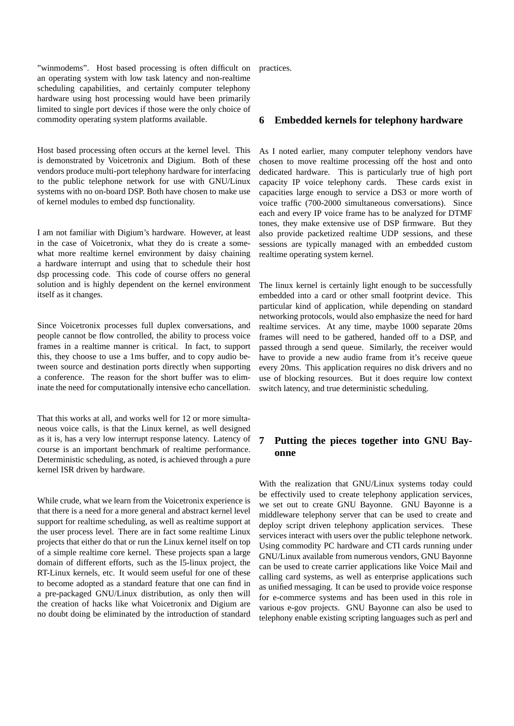"winmodems". Host based processing is often difficult on an operating system with low task latency and non-realtime scheduling capabilities, and certainly computer telephony hardware using host processing would have been primarily limited to single port devices if those were the only choice of commodity operating system platforms available.

Host based processing often occurs at the kernel level. This is demonstrated by Voicetronix and Digium. Both of these vendors produce multi-port telephony hardware for interfacing to the public telephone network for use with GNU/Linux systems with no on-board DSP. Both have chosen to make use of kernel modules to embed dsp functionality.

I am not familiar with Digium's hardware. However, at least in the case of Voicetronix, what they do is create a somewhat more realtime kernel environment by daisy chaining a hardware interrupt and using that to schedule their host dsp processing code. This code of course offers no general solution and is highly dependent on the kernel environment itself as it changes.

Since Voicetronix processes full duplex conversations, and people cannot be flow controlled, the ability to process voice frames in a realtime manner is critical. In fact, to support this, they choose to use a 1ms buffer, and to copy audio between source and destination ports directly when supporting a conference. The reason for the short buffer was to eliminate the need for computationally intensive echo cancellation.

That this works at all, and works well for 12 or more simultaneous voice calls, is that the Linux kernel, as well designed as it is, has a very low interrupt response latency. Latency of course is an important benchmark of realtime performance. Deterministic scheduling, as noted, is achieved through a pure kernel ISR driven by hardware.

While crude, what we learn from the Voicetronix experience is that there is a need for a more general and abstract kernel level support for realtime scheduling, as well as realtime support at the user process level. There are in fact some realtime Linux projects that either do that or run the Linux kernel itself on top of a simple realtime core kernel. These projects span a large domain of different efforts, such as the l5-linux project, the RT-Linux kernels, etc. It would seem useful for one of these to become adopted as a standard feature that one can find in a pre-packaged GNU/Linux distribution, as only then will the creation of hacks like what Voicetronix and Digium are no doubt doing be eliminated by the introduction of standard practices.

#### **6 Embedded kernels for telephony hardware**

As I noted earlier, many computer telephony vendors have chosen to move realtime processing off the host and onto dedicated hardware. This is particularly true of high port capacity IP voice telephony cards. These cards exist in capacities large enough to service a DS3 or more worth of voice traffic (700-2000 simultaneous conversations). Since each and every IP voice frame has to be analyzed for DTMF tones, they make extensive use of DSP firmware. But they also provide packetized realtime UDP sessions, and these sessions are typically managed with an embedded custom realtime operating system kernel.

The linux kernel is certainly light enough to be successfully embedded into a card or other small footprint device. This particular kind of application, while depending on standard networking protocols, would also emphasize the need for hard realtime services. At any time, maybe 1000 separate 20ms frames will need to be gathered, handed off to a DSP, and passed through a send queue. Similarly, the receiver would have to provide a new audio frame from it's receive queue every 20ms. This application requires no disk drivers and no use of blocking resources. But it does require low context switch latency, and true deterministic scheduling.

# **7 Putting the pieces together into GNU Bayonne**

With the realization that GNU/Linux systems today could be effectivily used to create telephony application services, we set out to create GNU Bayonne. GNU Bayonne is a middleware telephony server that can be used to create and deploy script driven telephony application services. These services interact with users over the public telephone network. Using commodity PC hardware and CTI cards running under GNU/Linux available from numerous vendors, GNU Bayonne can be used to create carrier applications like Voice Mail and calling card systems, as well as enterprise applications such as unified messaging. It can be used to provide voice response for e-commerce systems and has been used in this role in various e-gov projects. GNU Bayonne can also be used to telephony enable existing scripting languages such as perl and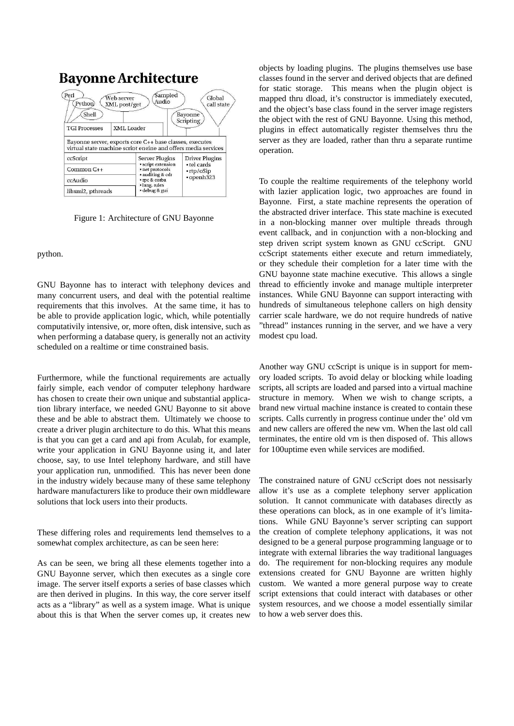

Figure 1: Architecture of GNU Bayonne

#### python.

GNU Bayonne has to interact with telephony devices and many concurrent users, and deal with the potential realtime requirements that this involves. At the same time, it has to be able to provide application logic, which, while potentially computativily intensive, or, more often, disk intensive, such as when performing a database query, is generally not an activity scheduled on a realtime or time constrained basis.

Furthermore, while the functional requirements are actually fairly simple, each vendor of computer telephony hardware has chosen to create their own unique and substantial application library interface, we needed GNU Bayonne to sit above these and be able to abstract them. Ultimately we choose to create a driver plugin architecture to do this. What this means is that you can get a card and api from Aculab, for example, write your application in GNU Bayonne using it, and later choose, say, to use Intel telephony hardware, and still have your application run, unmodified. This has never been done in the industry widely because many of these same telephony hardware manufacturers like to produce their own middleware solutions that lock users into their products.

These differing roles and requirements lend themselves to a somewhat complex architecture, as can be seen here:

As can be seen, we bring all these elements together into a GNU Bayonne server, which then executes as a single core image. The server itself exports a series of base classes which are then derived in plugins. In this way, the core server itself acts as a "library" as well as a system image. What is unique about this is that When the server comes up, it creates new

objects by loading plugins. The plugins themselves use base classes found in the server and derived objects that are defined for static storage. This means when the plugin object is mapped thru dload, it's constructor is immediately executed, and the object's base class found in the server image registers the object with the rest of GNU Bayonne. Using this method, plugins in effect automatically register themselves thru the server as they are loaded, rather than thru a separate runtime operation.

To couple the realtime requirements of the telephony world with lazier application logic, two approaches are found in Bayonne. First, a state machine represents the operation of the abstracted driver interface. This state machine is executed in a non-blocking manner over multiple threads through event callback, and in conjunction with a non-blocking and step driven script system known as GNU ccScript. GNU ccScript statements either execute and return immediately, or they schedule their completion for a later time with the GNU bayonne state machine executive. This allows a single thread to efficiently invoke and manage multiple interpreter instances. While GNU Bayonne can support interacting with hundreds of simultaneous telephone callers on high density carrier scale hardware, we do not require hundreds of native "thread" instances running in the server, and we have a very modest cpu load.

Another way GNU ccScript is unique is in support for memory loaded scripts. To avoid delay or blocking while loading scripts, all scripts are loaded and parsed into a virtual machine structure in memory. When we wish to change scripts, a brand new virtual machine instance is created to contain these scripts. Calls currently in progress continue under the' old vm and new callers are offered the new vm. When the last old call terminates, the entire old vm is then disposed of. This allows for 100uptime even while services are modified.

The constrained nature of GNU ccScript does not nessisarly allow it's use as a complete telephony server application solution. It cannot communicate with databases directly as these operations can block, as in one example of it's limitations. While GNU Bayonne's server scripting can support the creation of complete telephony applications, it was not designed to be a general purpose programming language or to integrate with external libraries the way traditional languages do. The requirement for non-blocking requires any module extensions created for GNU Bayonne are written highly custom. We wanted a more general purpose way to create script extensions that could interact with databases or other system resources, and we choose a model essentially similar to how a web server does this.